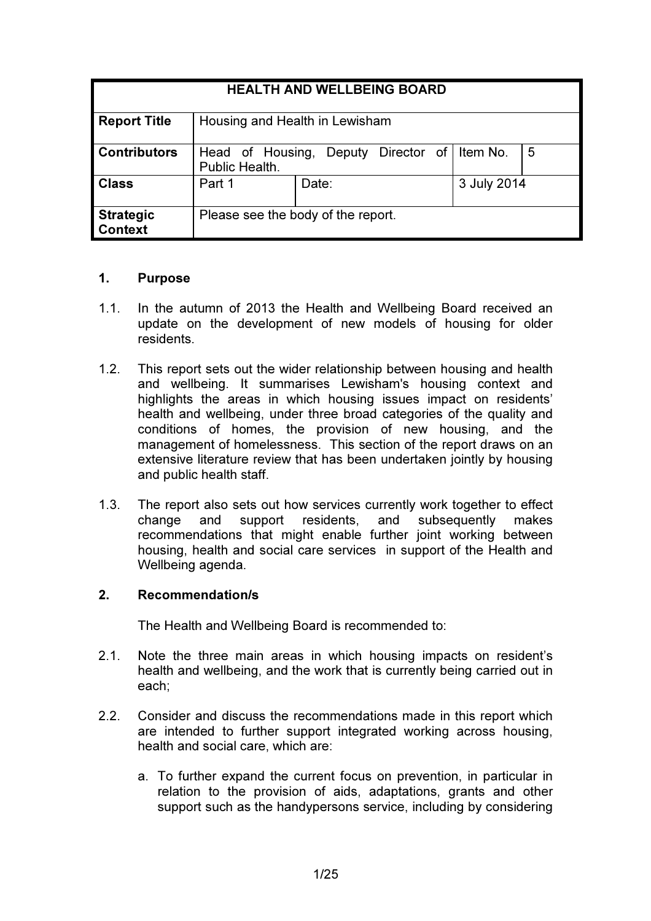| <b>HEALTH AND WELLBEING BOARD</b> |                                                                           |       |             |  |
|-----------------------------------|---------------------------------------------------------------------------|-------|-------------|--|
| <b>Report Title</b>               | Housing and Health in Lewisham                                            |       |             |  |
| <b>Contributors</b>               | Item No.<br>5<br>Head of Housing,<br>Deputy Director of<br>Public Health. |       |             |  |
| <b>Class</b>                      | Part 1                                                                    | Date: | 3 July 2014 |  |
| <b>Strategic</b><br>Context       | Please see the body of the report.                                        |       |             |  |

## 1. Purpose

- 1.1. In the autumn of 2013 the Health and Wellbeing Board received an update on the development of new models of housing for older residents.
- 1.2. This report sets out the wider relationship between housing and health and wellbeing. It summarises Lewisham's housing context and highlights the areas in which housing issues impact on residents' health and wellbeing, under three broad categories of the quality and conditions of homes, the provision of new housing, and the management of homelessness. This section of the report draws on an extensive literature review that has been undertaken jointly by housing and public health staff.
- 1.3. The report also sets out how services currently work together to effect change and support residents, and subsequently makes recommendations that might enable further joint working between housing, health and social care services in support of the Health and Wellbeing agenda.

## 2. Recommendation/s

The Health and Wellbeing Board is recommended to:

- 2.1. Note the three main areas in which housing impacts on resident's health and wellbeing, and the work that is currently being carried out in each;
- 2.2. Consider and discuss the recommendations made in this report which are intended to further support integrated working across housing, health and social care, which are:
	- a. To further expand the current focus on prevention, in particular in relation to the provision of aids, adaptations, grants and other support such as the handypersons service, including by considering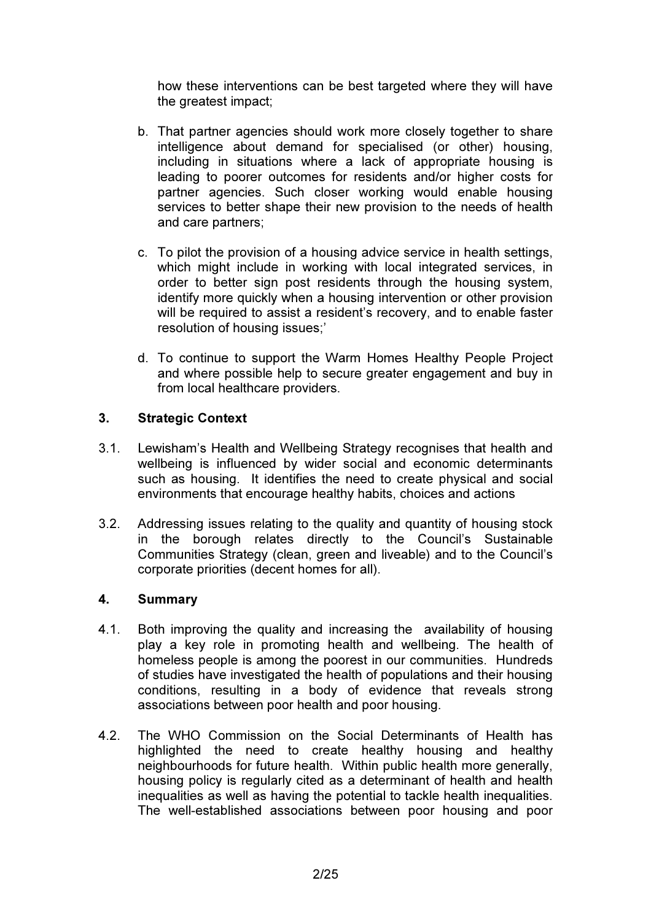how these interventions can be best targeted where they will have the greatest impact;

- b. That partner agencies should work more closely together to share intelligence about demand for specialised (or other) housing, including in situations where a lack of appropriate housing is leading to poorer outcomes for residents and/or higher costs for partner agencies. Such closer working would enable housing services to better shape their new provision to the needs of health and care partners;
- c. To pilot the provision of a housing advice service in health settings, which might include in working with local integrated services, in order to better sign post residents through the housing system, identify more quickly when a housing intervention or other provision will be required to assist a resident's recovery, and to enable faster resolution of housing issues;'
- d. To continue to support the Warm Homes Healthy People Project and where possible help to secure greater engagement and buy in from local healthcare providers.

## 3. Strategic Context

- 3.1. Lewisham's Health and Wellbeing Strategy recognises that health and wellbeing is influenced by wider social and economic determinants such as housing. It identifies the need to create physical and social environments that encourage healthy habits, choices and actions
- 3.2. Addressing issues relating to the quality and quantity of housing stock in the borough relates directly to the Council's Sustainable Communities Strategy (clean, green and liveable) and to the Council's corporate priorities (decent homes for all).

## 4. Summary

- 4.1. Both improving the quality and increasing the availability of housing play a key role in promoting health and wellbeing. The health of homeless people is among the poorest in our communities. Hundreds of studies have investigated the health of populations and their housing conditions, resulting in a body of evidence that reveals strong associations between poor health and poor housing.
- 4.2. The WHO Commission on the Social Determinants of Health has highlighted the need to create healthy housing and healthy neighbourhoods for future health. Within public health more generally, housing policy is regularly cited as a determinant of health and health inequalities as well as having the potential to tackle health inequalities. The well-established associations between poor housing and poor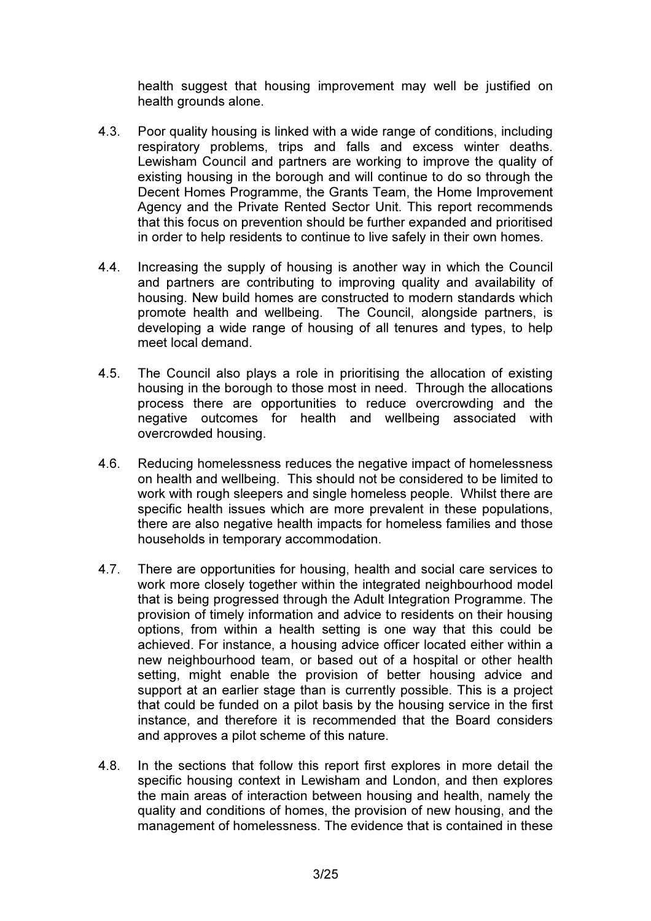health suggest that housing improvement may well be justified on health grounds alone.

- 4.3. Poor quality housing is linked with a wide range of conditions, including respiratory problems, trips and falls and excess winter deaths. Lewisham Council and partners are working to improve the quality of existing housing in the borough and will continue to do so through the Decent Homes Programme, the Grants Team, the Home Improvement Agency and the Private Rented Sector Unit. This report recommends that this focus on prevention should be further expanded and prioritised in order to help residents to continue to live safely in their own homes.
- 4.4. Increasing the supply of housing is another way in which the Council and partners are contributing to improving quality and availability of housing. New build homes are constructed to modern standards which promote health and wellbeing. The Council, alongside partners, is developing a wide range of housing of all tenures and types, to help meet local demand.
- 4.5. The Council also plays a role in prioritising the allocation of existing housing in the borough to those most in need. Through the allocations process there are opportunities to reduce overcrowding and the negative outcomes for health and wellbeing associated with overcrowded housing.
- 4.6. Reducing homelessness reduces the negative impact of homelessness on health and wellbeing. This should not be considered to be limited to work with rough sleepers and single homeless people. Whilst there are specific health issues which are more prevalent in these populations, there are also negative health impacts for homeless families and those households in temporary accommodation.
- 4.7. There are opportunities for housing, health and social care services to work more closely together within the integrated neighbourhood model that is being progressed through the Adult Integration Programme. The provision of timely information and advice to residents on their housing options, from within a health setting is one way that this could be achieved. For instance, a housing advice officer located either within a new neighbourhood team, or based out of a hospital or other health setting, might enable the provision of better housing advice and support at an earlier stage than is currently possible. This is a project that could be funded on a pilot basis by the housing service in the first instance, and therefore it is recommended that the Board considers and approves a pilot scheme of this nature.
- 4.8. In the sections that follow this report first explores in more detail the specific housing context in Lewisham and London, and then explores the main areas of interaction between housing and health, namely the quality and conditions of homes, the provision of new housing, and the management of homelessness. The evidence that is contained in these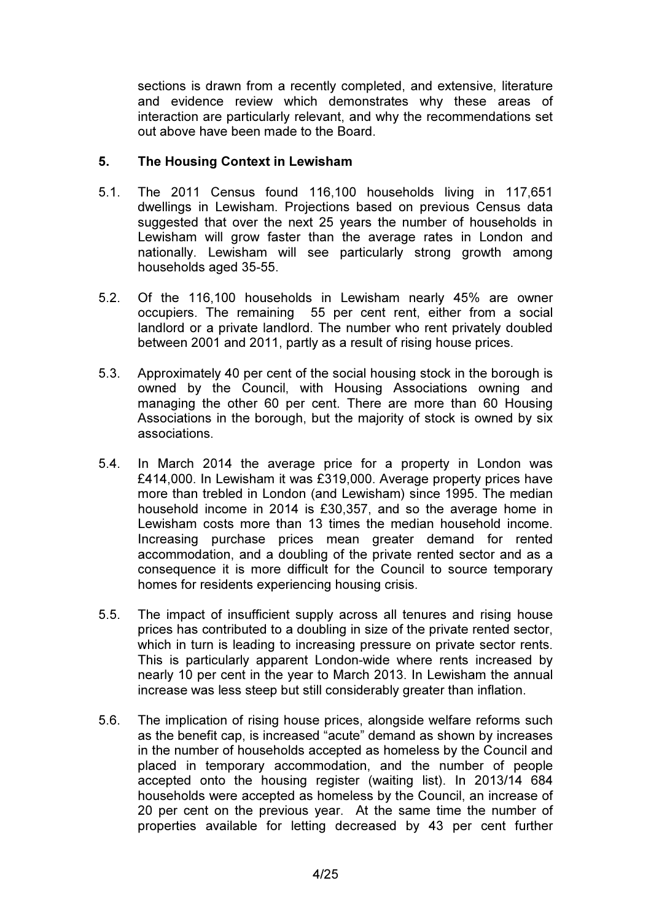sections is drawn from a recently completed, and extensive, literature and evidence review which demonstrates why these areas of interaction are particularly relevant, and why the recommendations set out above have been made to the Board.

## 5. The Housing Context in Lewisham

- 5.1. The 2011 Census found 116,100 households living in 117,651 dwellings in Lewisham. Projections based on previous Census data suggested that over the next 25 years the number of households in Lewisham will grow faster than the average rates in London and nationally. Lewisham will see particularly strong growth among households aged 35-55.
- 5.2. Of the 116,100 households in Lewisham nearly 45% are owner occupiers. The remaining 55 per cent rent, either from a social landlord or a private landlord. The number who rent privately doubled between 2001 and 2011, partly as a result of rising house prices.
- 5.3. Approximately 40 per cent of the social housing stock in the borough is owned by the Council, with Housing Associations owning and managing the other 60 per cent. There are more than 60 Housing Associations in the borough, but the majority of stock is owned by six associations.
- 5.4. In March 2014 the average price for a property in London was £414,000. In Lewisham it was £319,000. Average property prices have more than trebled in London (and Lewisham) since 1995. The median household income in 2014 is £30,357, and so the average home in Lewisham costs more than 13 times the median household income. Increasing purchase prices mean greater demand for rented accommodation, and a doubling of the private rented sector and as a consequence it is more difficult for the Council to source temporary homes for residents experiencing housing crisis.
- 5.5. The impact of insufficient supply across all tenures and rising house prices has contributed to a doubling in size of the private rented sector, which in turn is leading to increasing pressure on private sector rents. This is particularly apparent London-wide where rents increased by nearly 10 per cent in the year to March 2013. In Lewisham the annual increase was less steep but still considerably greater than inflation.
- 5.6. The implication of rising house prices, alongside welfare reforms such as the benefit cap, is increased "acute" demand as shown by increases in the number of households accepted as homeless by the Council and placed in temporary accommodation, and the number of people accepted onto the housing register (waiting list). In 2013/14 684 households were accepted as homeless by the Council, an increase of 20 per cent on the previous year. At the same time the number of properties available for letting decreased by 43 per cent further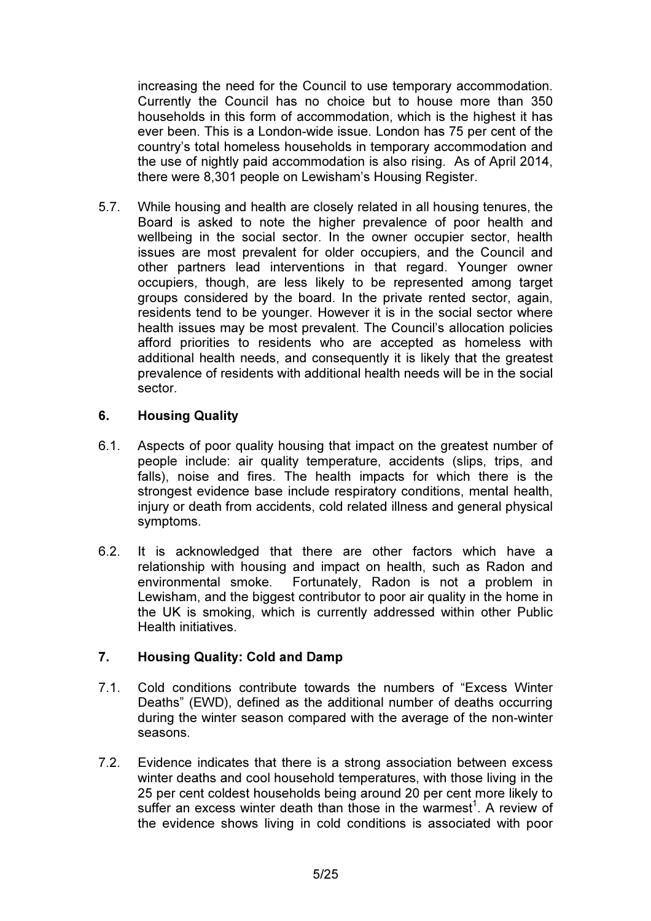increasing the need for the Council to use temporary accommodation. Currently the Council has no choice but to house more than 350 households in this form of accommodation, which is the highest it has ever been. This is a London-wide issue. London has 75 per cent of the country's total homeless households in temporary accommodation and the use of nightly paid accommodation is also rising. As of April 2014, there were 8,301 people on Lewisham's Housing Register.

5.7. While housing and health are closely related in all housing tenures, the Board is asked to note the higher prevalence of poor health and wellbeing in the social sector. In the owner occupier sector, health issues are most prevalent for older occupiers, and the Council and other partners lead interventions in that regard. Younger owner occupiers, though, are less likely to be represented among target groups considered by the board. In the private rented sector, again, residents tend to be younger. However it is in the social sector where health issues may be most prevalent. The Council's allocation policies afford priorities to residents who are accepted as homeless with additional health needs, and consequently it is likely that the greatest prevalence of residents with additional health needs will be in the social sector.

# 6. Housing Quality

- 6.1. Aspects of poor quality housing that impact on the greatest number of people include: air quality temperature, accidents (slips, trips, and falls), noise and fires. The health impacts for which there is the strongest evidence base include respiratory conditions, mental health, injury or death from accidents, cold related illness and general physical symptoms.
- 6.2. It is acknowledged that there are other factors which have a relationship with housing and impact on health, such as Radon and environmental smoke. Fortunately, Radon is not a problem in Lewisham, and the biggest contributor to poor air quality in the home in the UK is smoking, which is currently addressed within other Public Health initiatives.

# 7. Housing Quality: Cold and Damp

- 7.1. Cold conditions contribute towards the numbers of "Excess Winter Deaths" (EWD), defined as the additional number of deaths occurring during the winter season compared with the average of the non-winter seasons.
- 7.2. Evidence indicates that there is a strong association between excess winter deaths and cool household temperatures, with those living in the 25 per cent coldest households being around 20 per cent more likely to suffer an excess winter death than those in the warmest<sup>1</sup>. A review of the evidence shows living in cold conditions is associated with poor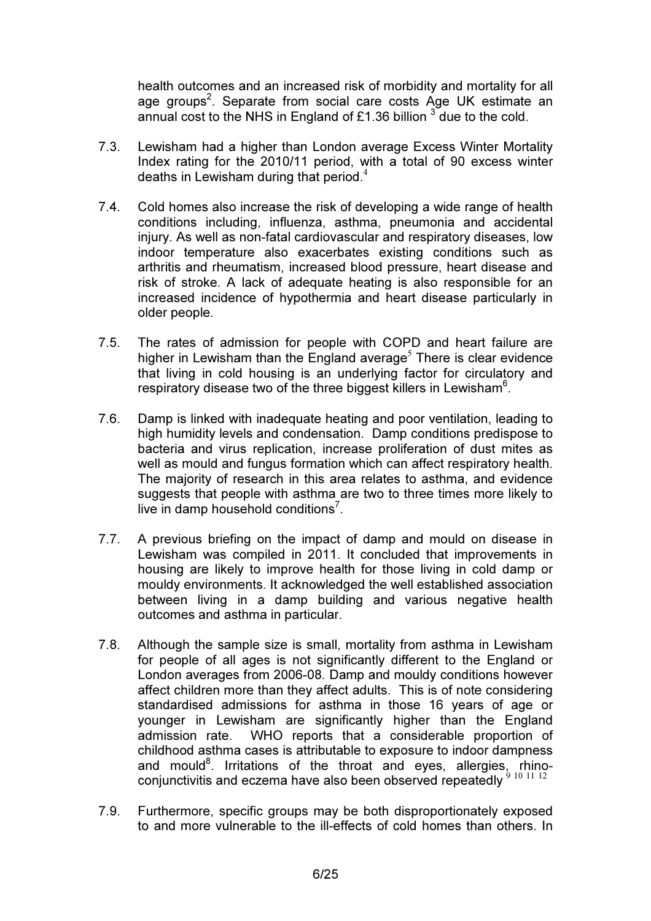health outcomes and an increased risk of morbidity and mortality for all age groups<sup>2</sup>. Separate from social care costs Age UK estimate an annual cost to the NHS in England of £1.36 billion  $3\overline{ }$  due to the cold.

- 7.3. Lewisham had a higher than London average Excess Winter Mortality Index rating for the 2010/11 period, with a total of 90 excess winter deaths in Lewisham during that period. $4$
- 7.4. Cold homes also increase the risk of developing a wide range of health conditions including, influenza, asthma, pneumonia and accidental injury. As well as non-fatal cardiovascular and respiratory diseases, low indoor temperature also exacerbates existing conditions such as arthritis and rheumatism, increased blood pressure, heart disease and risk of stroke. A lack of adequate heating is also responsible for an increased incidence of hypothermia and heart disease particularly in older people.
- 7.5. The rates of admission for people with COPD and heart failure are higher in Lewisham than the England average<sup>5</sup> There is clear evidence that living in cold housing is an underlying factor for circulatory and respiratory disease two of the three biggest killers in Lewisham<sup>6</sup>.
- 7.6. Damp is linked with inadequate heating and poor ventilation, leading to high humidity levels and condensation. Damp conditions predispose to bacteria and virus replication, increase proliferation of dust mites as well as mould and fungus formation which can affect respiratory health. The majority of research in this area relates to asthma, and evidence suggests that people with asthma are two to three times more likely to live in damp household conditions<sup>7</sup>.
- 7.7. A previous briefing on the impact of damp and mould on disease in Lewisham was compiled in 2011. It concluded that improvements in housing are likely to improve health for those living in cold damp or mouldy environments. It acknowledged the well established association between living in a damp building and various negative health outcomes and asthma in particular.
- 7.8. Although the sample size is small, mortality from asthma in Lewisham for people of all ages is not significantly different to the England or London averages from 2006-08. Damp and mouldy conditions however affect children more than they affect adults. This is of note considering standardised admissions for asthma in those 16 years of age or younger in Lewisham are significantly higher than the England admission rate. WHO reports that a considerable proportion of childhood asthma cases is attributable to exposure to indoor dampness and mould<sup>8</sup>. Irritations of the throat and eyes, allergies, rhinoconjunctivitis and eczema have also been observed repeatedly  $9^{10}$  11 12
- 7.9. Furthermore, specific groups may be both disproportionately exposed to and more vulnerable to the ill-effects of cold homes than others. In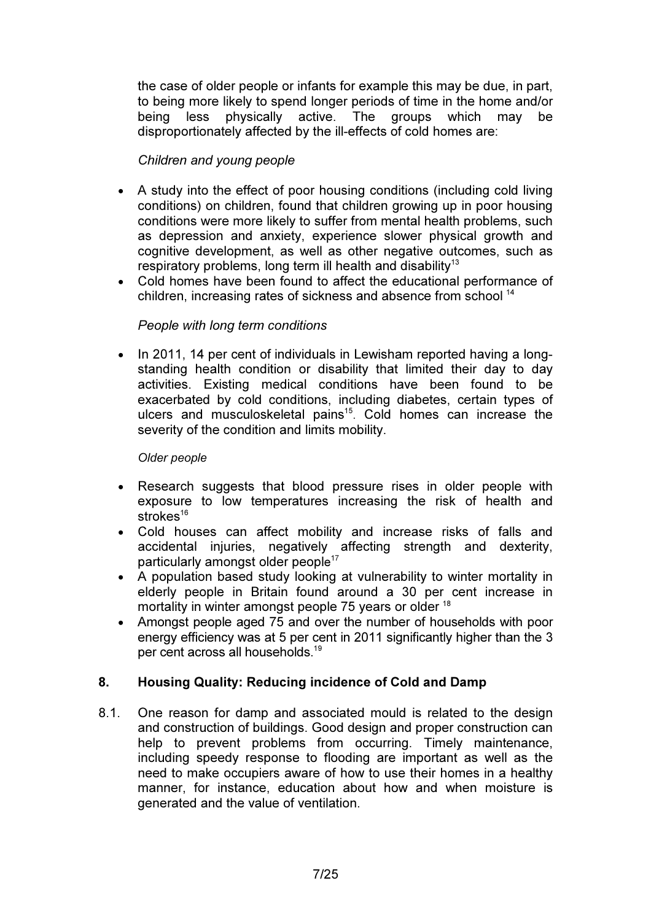the case of older people or infants for example this may be due, in part, to being more likely to spend longer periods of time in the home and/or being less physically active. The groups which may be disproportionately affected by the ill-effects of cold homes are:

## Children and young people

- A study into the effect of poor housing conditions (including cold living conditions) on children, found that children growing up in poor housing conditions were more likely to suffer from mental health problems, such as depression and anxiety, experience slower physical growth and cognitive development, as well as other negative outcomes, such as respiratory problems, long term ill health and disability<sup>13</sup>
- Cold homes have been found to affect the educational performance of children, increasing rates of sickness and absence from school <sup>14</sup>

## People with long term conditions

• In 2011, 14 per cent of individuals in Lewisham reported having a longstanding health condition or disability that limited their day to day activities. Existing medical conditions have been found to be exacerbated by cold conditions, including diabetes, certain types of ulcers and musculoskeletal pains<sup>15</sup>. Cold homes can increase the severity of the condition and limits mobility.

### Older people

- Research suggests that blood pressure rises in older people with exposure to low temperatures increasing the risk of health and strokes<sup>16</sup>
- Cold houses can affect mobility and increase risks of falls and accidental injuries, negatively affecting strength and dexterity, particularly amongst older people 17
- A population based study looking at vulnerability to winter mortality in elderly people in Britain found around a 30 per cent increase in mortality in winter amongst people 75 years or older <sup>18</sup>
- Amongst people aged 75 and over the number of households with poor energy efficiency was at 5 per cent in 2011 significantly higher than the 3 per cent across all households.<sup>19</sup>

## 8. Housing Quality: Reducing incidence of Cold and Damp

8.1. One reason for damp and associated mould is related to the design and construction of buildings. Good design and proper construction can help to prevent problems from occurring. Timely maintenance, including speedy response to flooding are important as well as the need to make occupiers aware of how to use their homes in a healthy manner, for instance, education about how and when moisture is generated and the value of ventilation.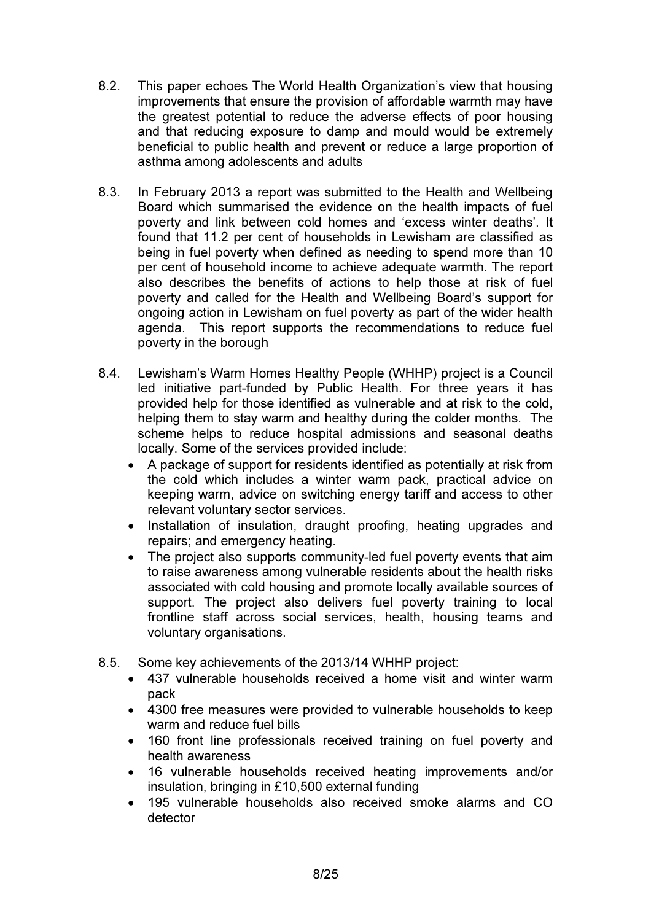- 8.2. This paper echoes The World Health Organization's view that housing improvements that ensure the provision of affordable warmth may have the greatest potential to reduce the adverse effects of poor housing and that reducing exposure to damp and mould would be extremely beneficial to public health and prevent or reduce a large proportion of asthma among adolescents and adults
- 8.3. In February 2013 a report was submitted to the Health and Wellbeing Board which summarised the evidence on the health impacts of fuel poverty and link between cold homes and 'excess winter deaths'. It found that 11.2 per cent of households in Lewisham are classified as being in fuel poverty when defined as needing to spend more than 10 per cent of household income to achieve adequate warmth. The report also describes the benefits of actions to help those at risk of fuel poverty and called for the Health and Wellbeing Board's support for ongoing action in Lewisham on fuel poverty as part of the wider health agenda. This report supports the recommendations to reduce fuel poverty in the borough
- 8.4. Lewisham's Warm Homes Healthy People (WHHP) project is a Council led initiative part-funded by Public Health. For three years it has provided help for those identified as vulnerable and at risk to the cold, helping them to stay warm and healthy during the colder months. The scheme helps to reduce hospital admissions and seasonal deaths locally. Some of the services provided include:
	- A package of support for residents identified as potentially at risk from the cold which includes a winter warm pack, practical advice on keeping warm, advice on switching energy tariff and access to other relevant voluntary sector services.
	- Installation of insulation, draught proofing, heating upgrades and repairs; and emergency heating.
	- The project also supports community-led fuel poverty events that aim to raise awareness among vulnerable residents about the health risks associated with cold housing and promote locally available sources of support. The project also delivers fuel poverty training to local frontline staff across social services, health, housing teams and voluntary organisations.
- 8.5. Some key achievements of the 2013/14 WHHP project:
	- 437 vulnerable households received a home visit and winter warm pack
	- 4300 free measures were provided to vulnerable households to keep warm and reduce fuel bills
	- 160 front line professionals received training on fuel poverty and health awareness
	- 16 vulnerable households received heating improvements and/or insulation, bringing in £10,500 external funding
	- 195 vulnerable households also received smoke alarms and CO detector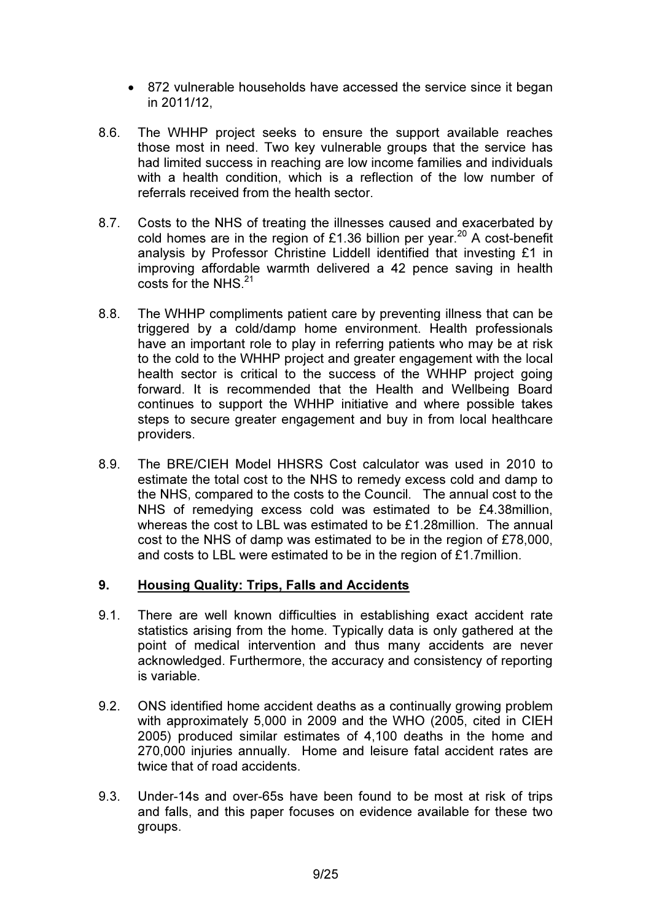- 872 vulnerable households have accessed the service since it began in 2011/12,
- 8.6. The WHHP project seeks to ensure the support available reaches those most in need. Two key vulnerable groups that the service has had limited success in reaching are low income families and individuals with a health condition, which is a reflection of the low number of referrals received from the health sector.
- 8.7. Costs to the NHS of treating the illnesses caused and exacerbated by cold homes are in the region of £1.36 billion per year.<sup>20</sup> A cost-benefit analysis by Professor Christine Liddell identified that investing £1 in improving affordable warmth delivered a 42 pence saving in health costs for the NHS<sup>21</sup>
- 8.8. The WHHP compliments patient care by preventing illness that can be triggered by a cold/damp home environment. Health professionals have an important role to play in referring patients who may be at risk to the cold to the WHHP project and greater engagement with the local health sector is critical to the success of the WHHP project going forward. It is recommended that the Health and Wellbeing Board continues to support the WHHP initiative and where possible takes steps to secure greater engagement and buy in from local healthcare providers.
- 8.9. The BRE/CIEH Model HHSRS Cost calculator was used in 2010 to estimate the total cost to the NHS to remedy excess cold and damp to the NHS, compared to the costs to the Council. The annual cost to the NHS of remedying excess cold was estimated to be £4.38million, whereas the cost to LBL was estimated to be £1.28million. The annual cost to the NHS of damp was estimated to be in the region of £78,000, and costs to LBL were estimated to be in the region of £1.7million.

# 9. Housing Quality: Trips, Falls and Accidents

- 9.1. There are well known difficulties in establishing exact accident rate statistics arising from the home. Typically data is only gathered at the point of medical intervention and thus many accidents are never acknowledged. Furthermore, the accuracy and consistency of reporting is variable.
- 9.2. ONS identified home accident deaths as a continually growing problem with approximately 5,000 in 2009 and the WHO (2005, cited in CIEH 2005) produced similar estimates of 4,100 deaths in the home and 270,000 injuries annually. Home and leisure fatal accident rates are twice that of road accidents.
- 9.3. Under-14s and over-65s have been found to be most at risk of trips and falls, and this paper focuses on evidence available for these two groups.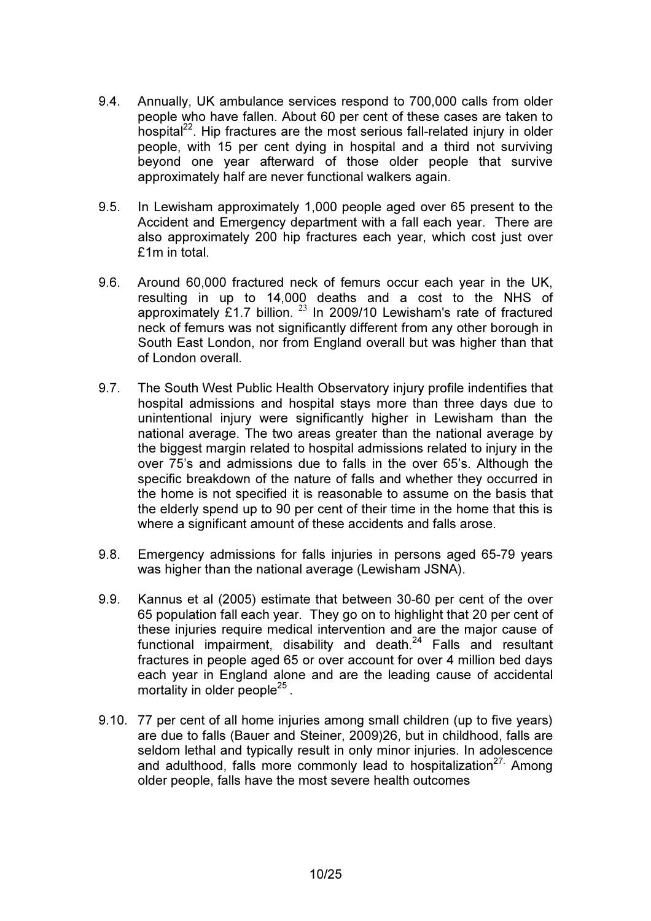- 9.4. Annually, UK ambulance services respond to 700,000 calls from older people who have fallen. About 60 per cent of these cases are taken to hospital $^{22}$ . Hip fractures are the most serious fall-related injury in older people, with 15 per cent dying in hospital and a third not surviving beyond one year afterward of those older people that survive approximately half are never functional walkers again.
- 9.5. In Lewisham approximately 1,000 people aged over 65 present to the Accident and Emergency department with a fall each year. There are also approximately 200 hip fractures each year, which cost just over £1m in total.
- 9.6. Around 60,000 fractured neck of femurs occur each year in the UK, resulting in up to 14,000 deaths and a cost to the NHS of approximately  $E1.7$  billion.  $^{23}$  In 2009/10 Lewisham's rate of fractured neck of femurs was not significantly different from any other borough in South East London, nor from England overall but was higher than that of London overall.
- 9.7. The South West Public Health Observatory injury profile indentifies that hospital admissions and hospital stays more than three days due to unintentional injury were significantly higher in Lewisham than the national average. The two areas greater than the national average by the biggest margin related to hospital admissions related to injury in the over 75's and admissions due to falls in the over 65's. Although the specific breakdown of the nature of falls and whether they occurred in the home is not specified it is reasonable to assume on the basis that the elderly spend up to 90 per cent of their time in the home that this is where a significant amount of these accidents and falls arose.
- 9.8. Emergency admissions for falls injuries in persons aged 65-79 years was higher than the national average (Lewisham JSNA).
- 9.9. Kannus et al (2005) estimate that between 30-60 per cent of the over 65 population fall each year. They go on to highlight that 20 per cent of these injuries require medical intervention and are the major cause of functional impairment, disability and death.<sup>24</sup> Falls and resultant fractures in people aged 65 or over account for over 4 million bed days each year in England alone and are the leading cause of accidental mortality in older people<sup>25</sup>.
- 9.10. 77 per cent of all home injuries among small children (up to five years) are due to falls (Bauer and Steiner, 2009)26, but in childhood, falls are seldom lethal and typically result in only minor injuries. In adolescence and adulthood, falls more commonly lead to hospitalization<sup>27.</sup> Among older people, falls have the most severe health outcomes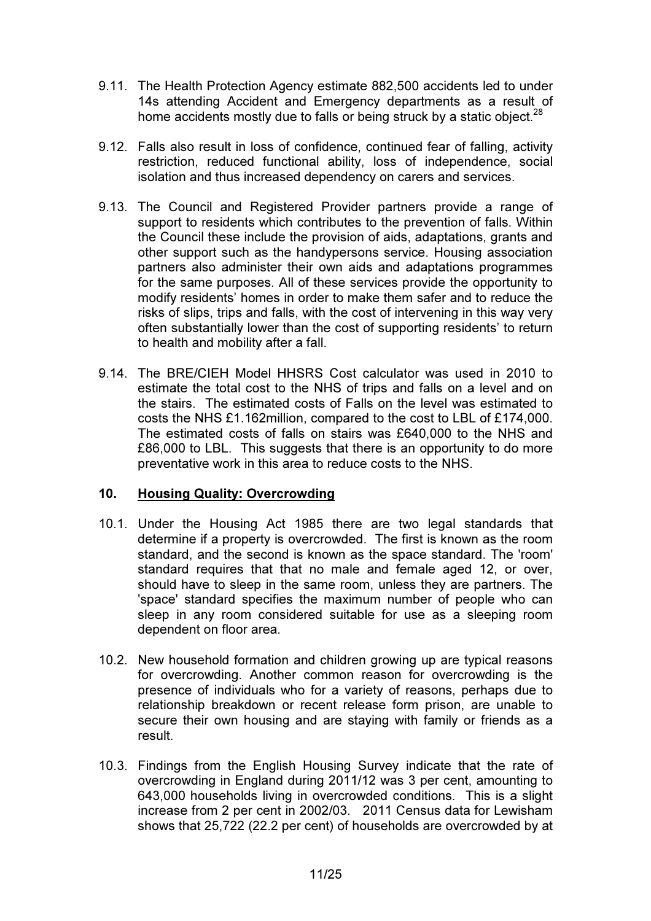- 9.11. The Health Protection Agency estimate 882,500 accidents led to under 14s attending Accident and Emergency departments as a result of home accidents mostly due to falls or being struck by a static object. $^{28}$
- 9.12. Falls also result in loss of confidence, continued fear of falling, activity restriction, reduced functional ability, loss of independence, social isolation and thus increased dependency on carers and services.
- 9.13. The Council and Registered Provider partners provide a range of support to residents which contributes to the prevention of falls. Within the Council these include the provision of aids, adaptations, grants and other support such as the handypersons service. Housing association partners also administer their own aids and adaptations programmes for the same purposes. All of these services provide the opportunity to modify residents' homes in order to make them safer and to reduce the risks of slips, trips and falls, with the cost of intervening in this way very often substantially lower than the cost of supporting residents' to return to health and mobility after a fall.
- 9.14. The BRE/CIEH Model HHSRS Cost calculator was used in 2010 to estimate the total cost to the NHS of trips and falls on a level and on the stairs. The estimated costs of Falls on the level was estimated to costs the NHS £1.162million, compared to the cost to LBL of £174,000. The estimated costs of falls on stairs was £640,000 to the NHS and £86,000 to LBL. This suggests that there is an opportunity to do more preventative work in this area to reduce costs to the NHS.

# 10. Housing Quality: Overcrowding

- 10.1. Under the Housing Act 1985 there are two legal standards that determine if a property is overcrowded. The first is known as the room standard, and the second is known as the space standard. The 'room' standard requires that that no male and female aged 12, or over, should have to sleep in the same room, unless they are partners. The 'space' standard specifies the maximum number of people who can sleep in any room considered suitable for use as a sleeping room dependent on floor area.
- 10.2. New household formation and children growing up are typical reasons for overcrowding. Another common reason for overcrowding is the presence of individuals who for a variety of reasons, perhaps due to relationship breakdown or recent release form prison, are unable to secure their own housing and are staying with family or friends as a result.
- 10.3. Findings from the English Housing Survey indicate that the rate of overcrowding in England during 2011/12 was 3 per cent, amounting to 643,000 households living in overcrowded conditions. This is a slight increase from 2 per cent in 2002/03. 2011 Census data for Lewisham shows that 25,722 (22.2 per cent) of households are overcrowded by at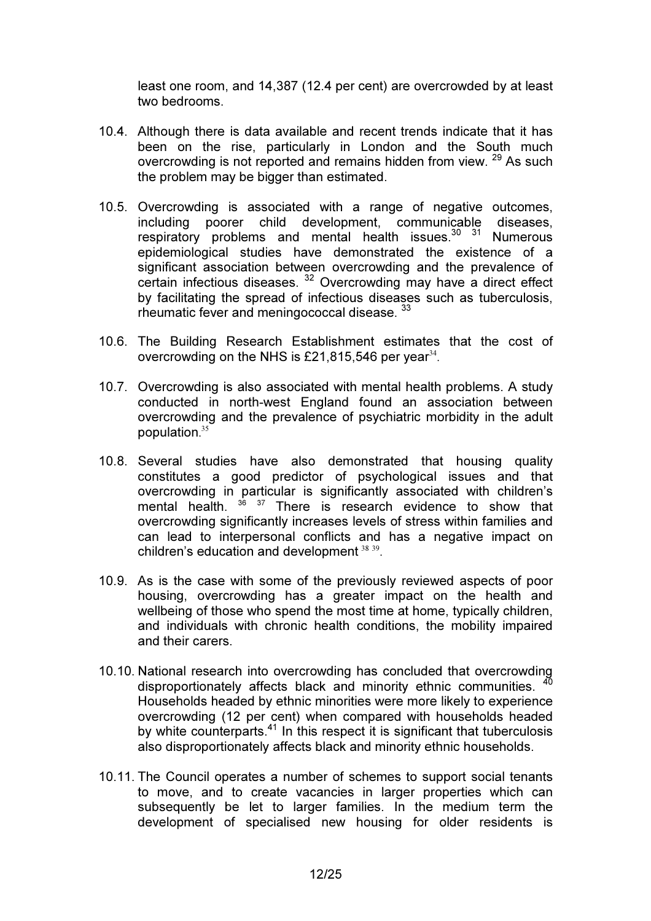least one room, and 14,387 (12.4 per cent) are overcrowded by at least two bedrooms.

- 10.4. Although there is data available and recent trends indicate that it has been on the rise, particularly in London and the South much overcrowding is not reported and remains hidden from view. <sup>29</sup> As such the problem may be bigger than estimated.
- 10.5. Overcrowding is associated with a range of negative outcomes, including poorer child development, communicable diseases, respiratory problems and mental health issues.<sup>30</sup> 31 Numerous epidemiological studies have demonstrated the existence of a significant association between overcrowding and the prevalence of certain infectious diseases. <sup>32</sup> Overcrowding may have a direct effect by facilitating the spread of infectious diseases such as tuberculosis, rheumatic fever and meningococcal disease. <sup>33</sup>
- 10.6. The Building Research Establishment estimates that the cost of overcrowding on the NHS is £21,815,546 per year $^{34}$ .
- 10.7. Overcrowding is also associated with mental health problems. A study conducted in north-west England found an association between overcrowding and the prevalence of psychiatric morbidity in the adult population. $35$
- 10.8. Several studies have also demonstrated that housing quality constitutes a good predictor of psychological issues and that overcrowding in particular is significantly associated with children's mental health. <sup>36 37</sup> There is research evidence to show that overcrowding significantly increases levels of stress within families and can lead to interpersonal conflicts and has a negative impact on children's education and development  $38\,39$ .
- 10.9. As is the case with some of the previously reviewed aspects of poor housing, overcrowding has a greater impact on the health and wellbeing of those who spend the most time at home, typically children, and individuals with chronic health conditions, the mobility impaired and their carers.
- 10.10. National research into overcrowding has concluded that overcrowding disproportionately affects black and minority ethnic communities. Households headed by ethnic minorities were more likely to experience overcrowding (12 per cent) when compared with households headed by white counterparts. $41$  In this respect it is significant that tuberculosis also disproportionately affects black and minority ethnic households.
- 10.11. The Council operates a number of schemes to support social tenants to move, and to create vacancies in larger properties which can subsequently be let to larger families. In the medium term the development of specialised new housing for older residents is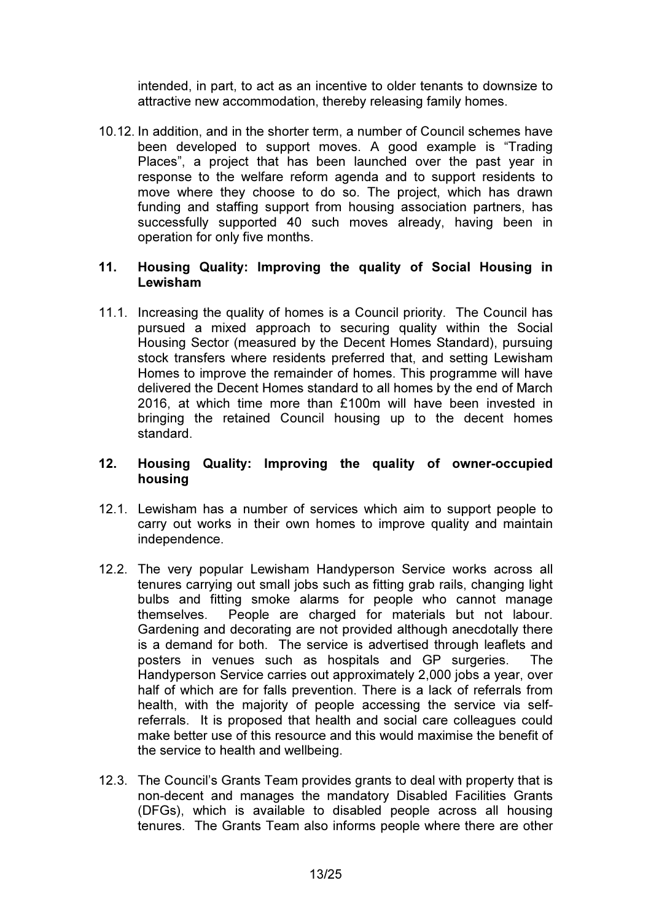intended, in part, to act as an incentive to older tenants to downsize to attractive new accommodation, thereby releasing family homes.

10.12. In addition, and in the shorter term, a number of Council schemes have been developed to support moves. A good example is "Trading Places", a project that has been launched over the past year in response to the welfare reform agenda and to support residents to move where they choose to do so. The project, which has drawn funding and staffing support from housing association partners, has successfully supported 40 such moves already, having been in operation for only five months.

### 11. Housing Quality: Improving the quality of Social Housing in Lewisham

11.1. Increasing the quality of homes is a Council priority. The Council has pursued a mixed approach to securing quality within the Social Housing Sector (measured by the Decent Homes Standard), pursuing stock transfers where residents preferred that, and setting Lewisham Homes to improve the remainder of homes. This programme will have delivered the Decent Homes standard to all homes by the end of March 2016, at which time more than £100m will have been invested in bringing the retained Council housing up to the decent homes standard.

## 12. Housing Quality: Improving the quality of owner-occupied housing

- 12.1. Lewisham has a number of services which aim to support people to carry out works in their own homes to improve quality and maintain independence.
- 12.2. The very popular Lewisham Handyperson Service works across all tenures carrying out small jobs such as fitting grab rails, changing light bulbs and fitting smoke alarms for people who cannot manage themselves. People are charged for materials but not labour. Gardening and decorating are not provided although anecdotally there is a demand for both. The service is advertised through leaflets and posters in venues such as hospitals and GP surgeries. The Handyperson Service carries out approximately 2,000 jobs a year, over half of which are for falls prevention. There is a lack of referrals from health, with the majority of people accessing the service via selfreferrals. It is proposed that health and social care colleagues could make better use of this resource and this would maximise the benefit of the service to health and wellbeing.
- 12.3. The Council's Grants Team provides grants to deal with property that is non-decent and manages the mandatory Disabled Facilities Grants (DFGs), which is available to disabled people across all housing tenures. The Grants Team also informs people where there are other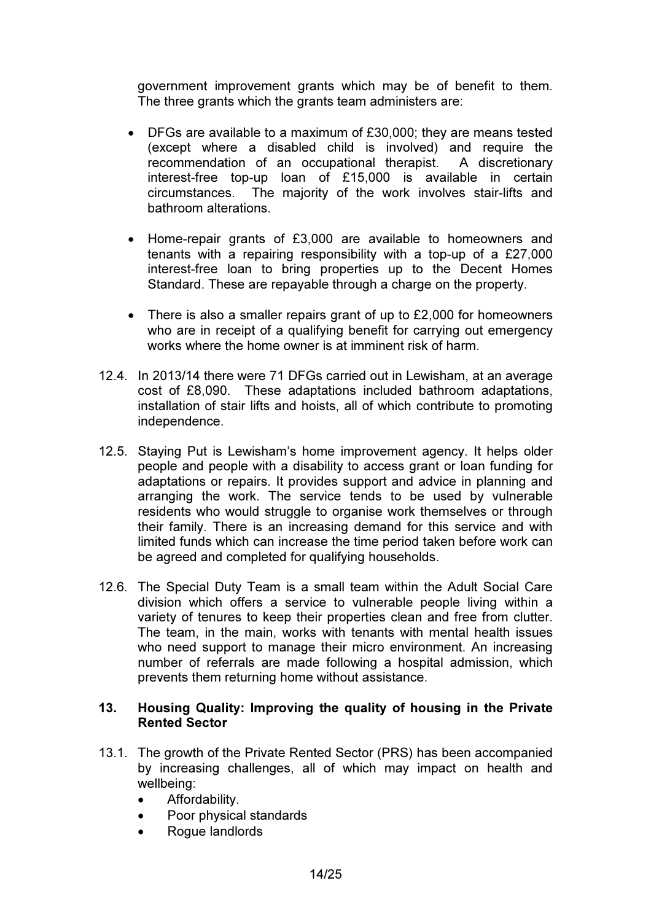government improvement grants which may be of benefit to them. The three grants which the grants team administers are:

- DFGs are available to a maximum of £30,000; they are means tested (except where a disabled child is involved) and require the recommendation of an occupational therapist. A discretionary interest-free top-up loan of £15,000 is available in certain circumstances. The majority of the work involves stair-lifts and bathroom alterations.
- Home-repair grants of £3,000 are available to homeowners and tenants with a repairing responsibility with a top-up of a £27,000 interest-free loan to bring properties up to the Decent Homes Standard. These are repayable through a charge on the property.
- There is also a smaller repairs grant of up to £2,000 for homeowners who are in receipt of a qualifying benefit for carrying out emergency works where the home owner is at imminent risk of harm.
- 12.4. In 2013/14 there were 71 DFGs carried out in Lewisham, at an average cost of £8,090. These adaptations included bathroom adaptations, installation of stair lifts and hoists, all of which contribute to promoting independence.
- 12.5. Staying Put is Lewisham's home improvement agency. It helps older people and people with a disability to access grant or loan funding for adaptations or repairs. It provides support and advice in planning and arranging the work. The service tends to be used by vulnerable residents who would struggle to organise work themselves or through their family. There is an increasing demand for this service and with limited funds which can increase the time period taken before work can be agreed and completed for qualifying households.
- 12.6. The Special Duty Team is a small team within the Adult Social Care division which offers a service to vulnerable people living within a variety of tenures to keep their properties clean and free from clutter. The team, in the main, works with tenants with mental health issues who need support to manage their micro environment. An increasing number of referrals are made following a hospital admission, which prevents them returning home without assistance.

#### 13. Housing Quality: Improving the quality of housing in the Private Rented Sector

- 13.1. The growth of the Private Rented Sector (PRS) has been accompanied by increasing challenges, all of which may impact on health and wellbeing:
	- Affordability.
	- Poor physical standards
	- Rogue landlords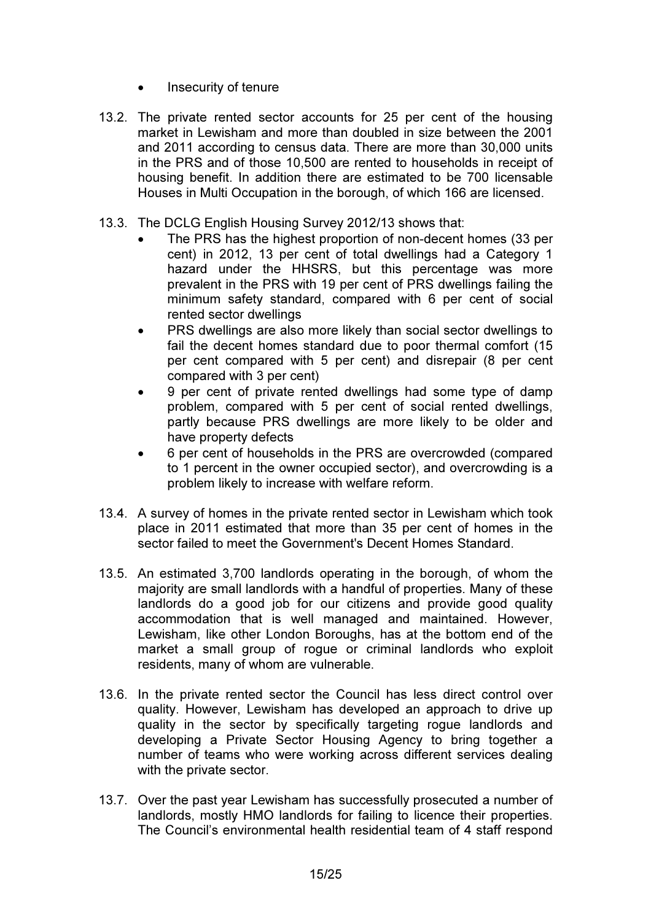- Insecurity of tenure
- 13.2. The private rented sector accounts for 25 per cent of the housing market in Lewisham and more than doubled in size between the 2001 and 2011 according to census data. There are more than 30,000 units in the PRS and of those 10,500 are rented to households in receipt of housing benefit. In addition there are estimated to be 700 licensable Houses in Multi Occupation in the borough, of which 166 are licensed.
- 13.3. The DCLG English Housing Survey 2012/13 shows that:
	- The PRS has the highest proportion of non-decent homes (33 per cent) in 2012, 13 per cent of total dwellings had a Category 1 hazard under the HHSRS, but this percentage was more prevalent in the PRS with 19 per cent of PRS dwellings failing the minimum safety standard, compared with 6 per cent of social rented sector dwellings
	- PRS dwellings are also more likely than social sector dwellings to fail the decent homes standard due to poor thermal comfort (15 per cent compared with 5 per cent) and disrepair (8 per cent compared with 3 per cent)
	- 9 per cent of private rented dwellings had some type of damp problem, compared with 5 per cent of social rented dwellings, partly because PRS dwellings are more likely to be older and have property defects
	- 6 per cent of households in the PRS are overcrowded (compared to 1 percent in the owner occupied sector), and overcrowding is a problem likely to increase with welfare reform.
- 13.4. A survey of homes in the private rented sector in Lewisham which took place in 2011 estimated that more than 35 per cent of homes in the sector failed to meet the Government's Decent Homes Standard.
- 13.5. An estimated 3,700 landlords operating in the borough, of whom the majority are small landlords with a handful of properties. Many of these landlords do a good job for our citizens and provide good quality accommodation that is well managed and maintained. However, Lewisham, like other London Boroughs, has at the bottom end of the market a small group of rogue or criminal landlords who exploit residents, many of whom are vulnerable.
- 13.6. In the private rented sector the Council has less direct control over quality. However, Lewisham has developed an approach to drive up quality in the sector by specifically targeting rogue landlords and developing a Private Sector Housing Agency to bring together a number of teams who were working across different services dealing with the private sector.
- 13.7. Over the past year Lewisham has successfully prosecuted a number of landlords, mostly HMO landlords for failing to licence their properties. The Council's environmental health residential team of 4 staff respond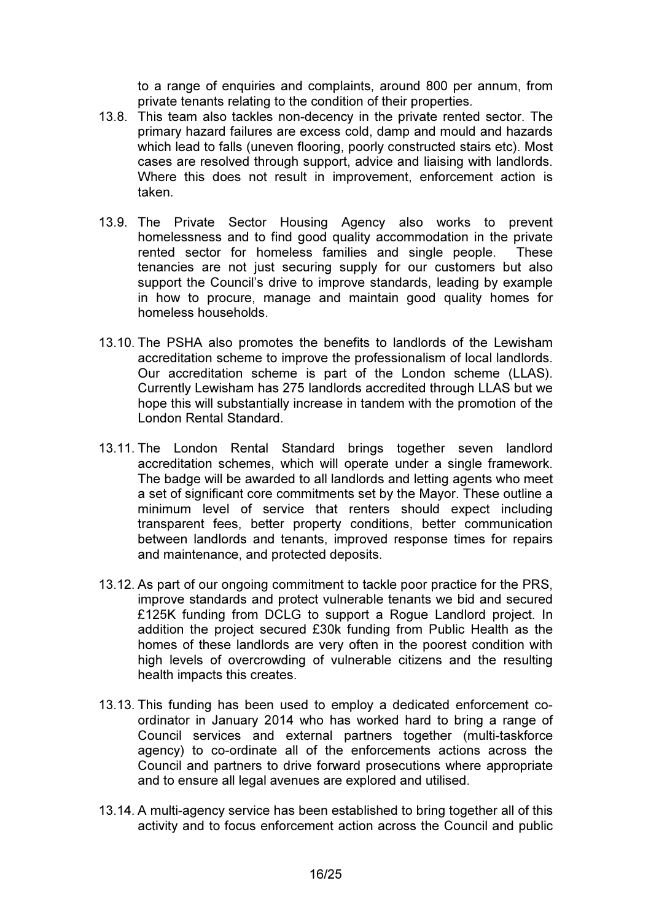to a range of enquiries and complaints, around 800 per annum, from private tenants relating to the condition of their properties.

- 13.8. This team also tackles non-decency in the private rented sector. The primary hazard failures are excess cold, damp and mould and hazards which lead to falls (uneven flooring, poorly constructed stairs etc). Most cases are resolved through support, advice and liaising with landlords. Where this does not result in improvement, enforcement action is taken.
- 13.9. The Private Sector Housing Agency also works to prevent homelessness and to find good quality accommodation in the private rented sector for homeless families and single people. These tenancies are not just securing supply for our customers but also support the Council's drive to improve standards, leading by example in how to procure, manage and maintain good quality homes for homeless households.
- 13.10. The PSHA also promotes the benefits to landlords of the Lewisham accreditation scheme to improve the professionalism of local landlords. Our accreditation scheme is part of the London scheme (LLAS). Currently Lewisham has 275 landlords accredited through LLAS but we hope this will substantially increase in tandem with the promotion of the London Rental Standard.
- 13.11. The London Rental Standard brings together seven landlord accreditation schemes, which will operate under a single framework. The badge will be awarded to all landlords and letting agents who meet a set of significant core commitments set by the Mayor. These outline a minimum level of service that renters should expect including transparent fees, better property conditions, better communication between landlords and tenants, improved response times for repairs and maintenance, and protected deposits.
- 13.12. As part of our ongoing commitment to tackle poor practice for the PRS, improve standards and protect vulnerable tenants we bid and secured £125K funding from DCLG to support a Rogue Landlord project. In addition the project secured £30k funding from Public Health as the homes of these landlords are very often in the poorest condition with high levels of overcrowding of vulnerable citizens and the resulting health impacts this creates.
- 13.13. This funding has been used to employ a dedicated enforcement coordinator in January 2014 who has worked hard to bring a range of Council services and external partners together (multi-taskforce agency) to co-ordinate all of the enforcements actions across the Council and partners to drive forward prosecutions where appropriate and to ensure all legal avenues are explored and utilised.
- 13.14. A multi-agency service has been established to bring together all of this activity and to focus enforcement action across the Council and public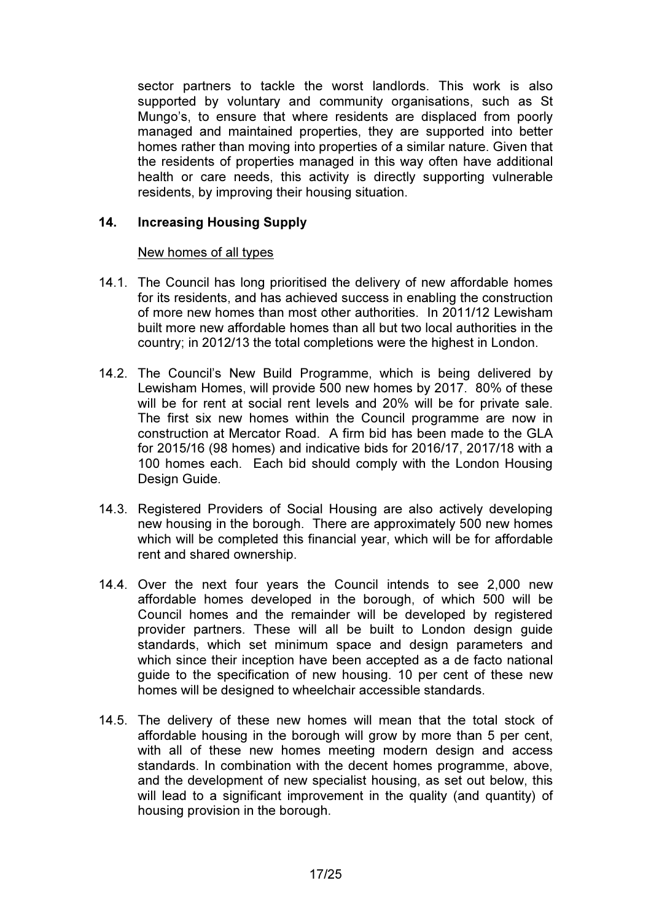sector partners to tackle the worst landlords. This work is also supported by voluntary and community organisations, such as St Mungo's, to ensure that where residents are displaced from poorly managed and maintained properties, they are supported into better homes rather than moving into properties of a similar nature. Given that the residents of properties managed in this way often have additional health or care needs, this activity is directly supporting vulnerable residents, by improving their housing situation.

## 14. Increasing Housing Supply

## New homes of all types

- 14.1. The Council has long prioritised the delivery of new affordable homes for its residents, and has achieved success in enabling the construction of more new homes than most other authorities. In 2011/12 Lewisham built more new affordable homes than all but two local authorities in the country; in 2012/13 the total completions were the highest in London.
- 14.2. The Council's New Build Programme, which is being delivered by Lewisham Homes, will provide 500 new homes by 2017. 80% of these will be for rent at social rent levels and 20% will be for private sale. The first six new homes within the Council programme are now in construction at Mercator Road. A firm bid has been made to the GLA for 2015/16 (98 homes) and indicative bids for 2016/17, 2017/18 with a 100 homes each. Each bid should comply with the London Housing Design Guide.
- 14.3. Registered Providers of Social Housing are also actively developing new housing in the borough. There are approximately 500 new homes which will be completed this financial year, which will be for affordable rent and shared ownership.
- 14.4. Over the next four years the Council intends to see 2,000 new affordable homes developed in the borough, of which 500 will be Council homes and the remainder will be developed by registered provider partners. These will all be built to London design guide standards, which set minimum space and design parameters and which since their inception have been accepted as a de facto national guide to the specification of new housing. 10 per cent of these new homes will be designed to wheelchair accessible standards.
- 14.5. The delivery of these new homes will mean that the total stock of affordable housing in the borough will grow by more than 5 per cent, with all of these new homes meeting modern design and access standards. In combination with the decent homes programme, above, and the development of new specialist housing, as set out below, this will lead to a significant improvement in the quality (and quantity) of housing provision in the borough.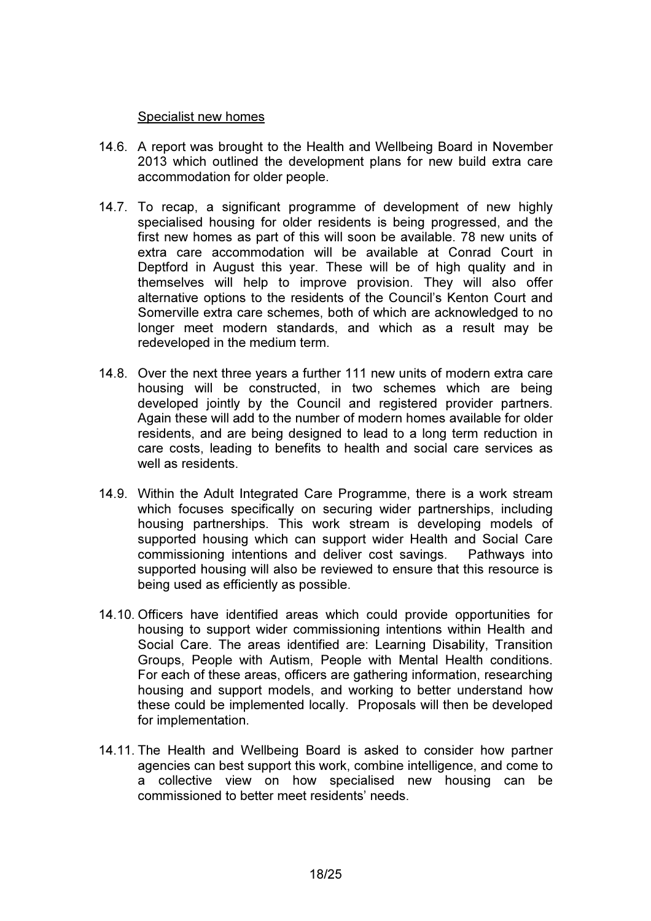#### Specialist new homes

- 14.6. A report was brought to the Health and Wellbeing Board in November 2013 which outlined the development plans for new build extra care accommodation for older people.
- 14.7. To recap, a significant programme of development of new highly specialised housing for older residents is being progressed, and the first new homes as part of this will soon be available. 78 new units of extra care accommodation will be available at Conrad Court in Deptford in August this year. These will be of high quality and in themselves will help to improve provision. They will also offer alternative options to the residents of the Council's Kenton Court and Somerville extra care schemes, both of which are acknowledged to no longer meet modern standards, and which as a result may be redeveloped in the medium term.
- 14.8. Over the next three years a further 111 new units of modern extra care housing will be constructed, in two schemes which are being developed jointly by the Council and registered provider partners. Again these will add to the number of modern homes available for older residents, and are being designed to lead to a long term reduction in care costs, leading to benefits to health and social care services as well as residents.
- 14.9. Within the Adult Integrated Care Programme, there is a work stream which focuses specifically on securing wider partnerships, including housing partnerships. This work stream is developing models of supported housing which can support wider Health and Social Care commissioning intentions and deliver cost savings. Pathways into supported housing will also be reviewed to ensure that this resource is being used as efficiently as possible.
- 14.10. Officers have identified areas which could provide opportunities for housing to support wider commissioning intentions within Health and Social Care. The areas identified are: Learning Disability, Transition Groups, People with Autism, People with Mental Health conditions. For each of these areas, officers are gathering information, researching housing and support models, and working to better understand how these could be implemented locally. Proposals will then be developed for implementation.
- 14.11. The Health and Wellbeing Board is asked to consider how partner agencies can best support this work, combine intelligence, and come to a collective view on how specialised new housing can be commissioned to better meet residents' needs.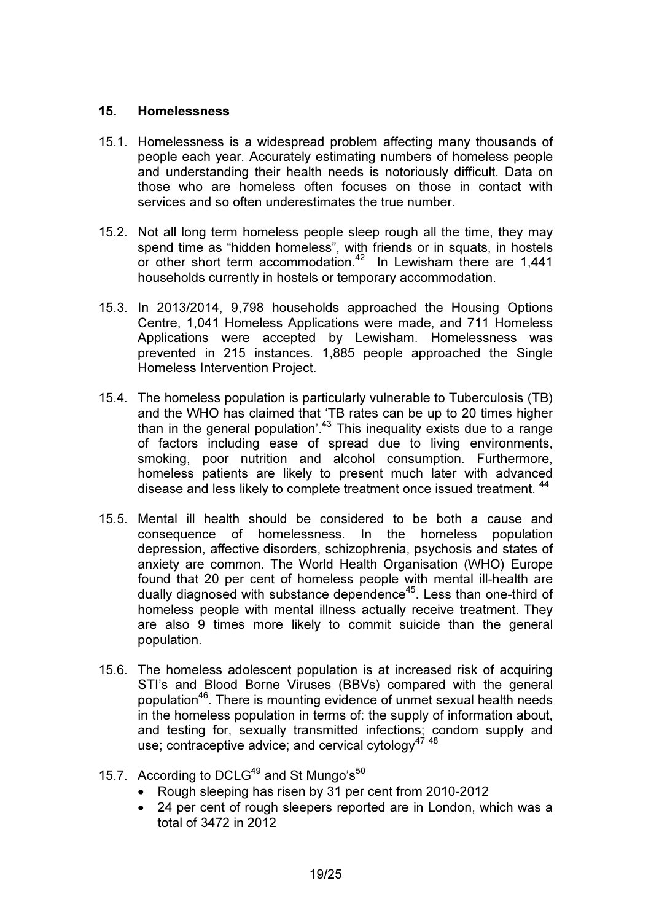## 15. Homelessness

- 15.1. Homelessness is a widespread problem affecting many thousands of people each year. Accurately estimating numbers of homeless people and understanding their health needs is notoriously difficult. Data on those who are homeless often focuses on those in contact with services and so often underestimates the true number.
- 15.2. Not all long term homeless people sleep rough all the time, they may spend time as "hidden homeless", with friends or in squats, in hostels or other short term accommodation.<sup>42</sup> In Lewisham there are 1,441 households currently in hostels or temporary accommodation.
- 15.3. In 2013/2014, 9,798 households approached the Housing Options Centre, 1,041 Homeless Applications were made, and 711 Homeless Applications were accepted by Lewisham. Homelessness was prevented in 215 instances. 1,885 people approached the Single Homeless Intervention Project.
- 15.4. The homeless population is particularly vulnerable to Tuberculosis (TB) and the WHO has claimed that 'TB rates can be up to 20 times higher than in the general population'.<sup>43</sup> This inequality exists due to a range of factors including ease of spread due to living environments, smoking, poor nutrition and alcohol consumption. Furthermore, homeless patients are likely to present much later with advanced disease and less likely to complete treatment once issued treatment. <sup>44</sup>
- 15.5. Mental ill health should be considered to be both a cause and consequence of homelessness. In the homeless population depression, affective disorders, schizophrenia, psychosis and states of anxiety are common. The World Health Organisation (WHO) Europe found that 20 per cent of homeless people with mental ill-health are dually diagnosed with substance dependence<sup>45</sup>. Less than one-third of homeless people with mental illness actually receive treatment. They are also 9 times more likely to commit suicide than the general population.
- 15.6. The homeless adolescent population is at increased risk of acquiring STI's and Blood Borne Viruses (BBVs) compared with the general population<sup>46</sup>. There is mounting evidence of unmet sexual health needs in the homeless population in terms of: the supply of information about, and testing for, sexually transmitted infections; condom supply and use; contraceptive advice; and cervical cytology<sup>47 48</sup>
- 15.7. According to DCLG<sup>49</sup> and St Mungo's<sup>50</sup>
	- Rough sleeping has risen by 31 per cent from 2010-2012
	- 24 per cent of rough sleepers reported are in London, which was a total of 3472 in 2012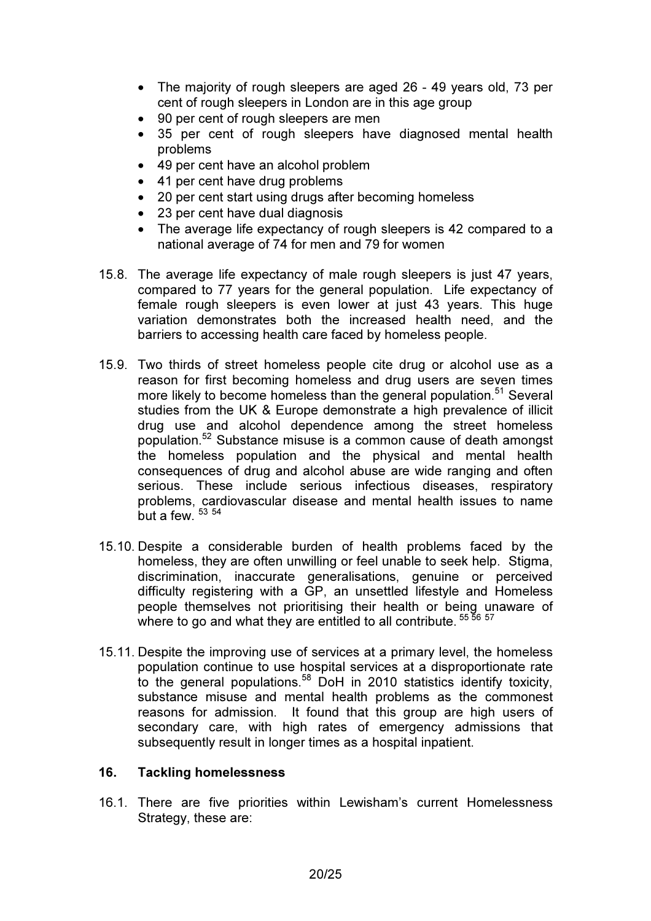- The majority of rough sleepers are aged 26 49 years old, 73 per cent of rough sleepers in London are in this age group
- 90 per cent of rough sleepers are men
- 35 per cent of rough sleepers have diagnosed mental health problems
- 49 per cent have an alcohol problem
- 41 per cent have drug problems
- 20 per cent start using drugs after becoming homeless
- 23 per cent have dual diagnosis
- The average life expectancy of rough sleepers is 42 compared to a national average of 74 for men and 79 for women
- 15.8. The average life expectancy of male rough sleepers is just 47 years, compared to 77 years for the general population. Life expectancy of female rough sleepers is even lower at just 43 years. This huge variation demonstrates both the increased health need, and the barriers to accessing health care faced by homeless people.
- 15.9. Two thirds of street homeless people cite drug or alcohol use as a reason for first becoming homeless and drug users are seven times more likely to become homeless than the general population.<sup>51</sup> Several studies from the UK & Europe demonstrate a high prevalence of illicit drug use and alcohol dependence among the street homeless population.<sup>52</sup> Substance misuse is a common cause of death amongst the homeless population and the physical and mental health consequences of drug and alcohol abuse are wide ranging and often serious. These include serious infectious diseases, respiratory problems, cardiovascular disease and mental health issues to name but a few.  $53,54$
- 15.10. Despite a considerable burden of health problems faced by the homeless, they are often unwilling or feel unable to seek help. Stigma, discrimination, inaccurate generalisations, genuine or perceived difficulty registering with a GP, an unsettled lifestyle and Homeless people themselves not prioritising their health or being unaware of where to go and what they are entitled to all contribute.  $^\mathrm{55}$   $^\mathrm{56}$   $^\mathrm{57}$
- 15.11. Despite the improving use of services at a primary level, the homeless population continue to use hospital services at a disproportionate rate to the general populations.<sup>58</sup> DoH in 2010 statistics identify toxicity, substance misuse and mental health problems as the commonest reasons for admission. It found that this group are high users of secondary care, with high rates of emergency admissions that subsequently result in longer times as a hospital inpatient.

## 16. Tackling homelessness

16.1. There are five priorities within Lewisham's current Homelessness Strategy, these are: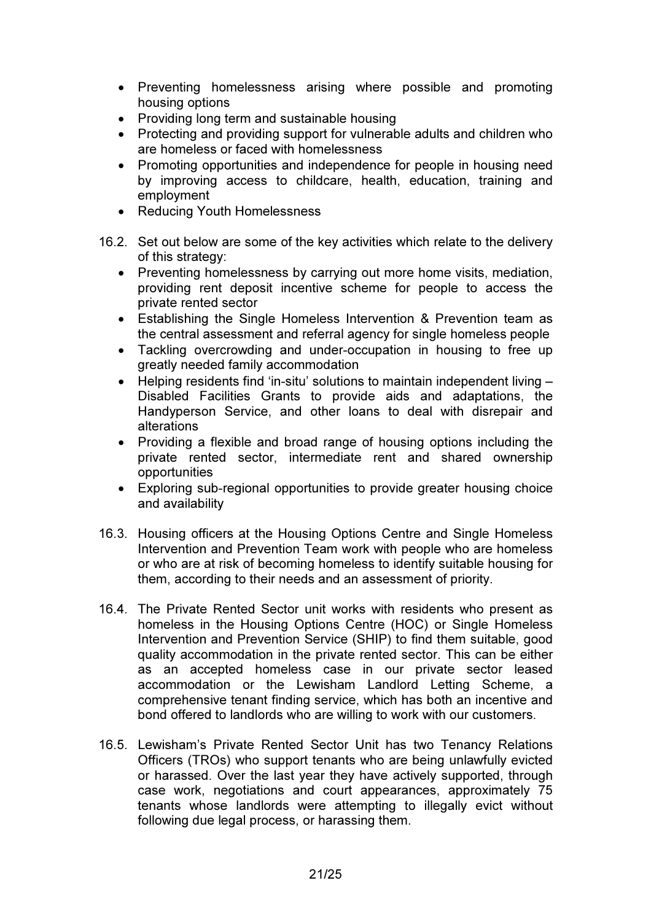- Preventing homelessness arising where possible and promoting housing options
- Providing long term and sustainable housing
- Protecting and providing support for vulnerable adults and children who are homeless or faced with homelessness
- Promoting opportunities and independence for people in housing need by improving access to childcare, health, education, training and employment
- Reducing Youth Homelessness
- 16.2. Set out below are some of the key activities which relate to the delivery of this strategy:
	- Preventing homelessness by carrying out more home visits, mediation, providing rent deposit incentive scheme for people to access the private rented sector
	- Establishing the Single Homeless Intervention & Prevention team as the central assessment and referral agency for single homeless people
	- Tackling overcrowding and under-occupation in housing to free up greatly needed family accommodation
	- Helping residents find 'in-situ' solutions to maintain independent living -Disabled Facilities Grants to provide aids and adaptations, the Handyperson Service, and other loans to deal with disrepair and alterations
	- Providing a flexible and broad range of housing options including the private rented sector, intermediate rent and shared ownership opportunities
	- Exploring sub-regional opportunities to provide greater housing choice and availability
- 16.3. Housing officers at the Housing Options Centre and Single Homeless Intervention and Prevention Team work with people who are homeless or who are at risk of becoming homeless to identify suitable housing for them, according to their needs and an assessment of priority.
- 16.4. The Private Rented Sector unit works with residents who present as homeless in the Housing Options Centre (HOC) or Single Homeless Intervention and Prevention Service (SHIP) to find them suitable, good quality accommodation in the private rented sector. This can be either as an accepted homeless case in our private sector leased accommodation or the Lewisham Landlord Letting Scheme, a comprehensive tenant finding service, which has both an incentive and bond offered to landlords who are willing to work with our customers.
- 16.5. Lewisham's Private Rented Sector Unit has two Tenancy Relations Officers (TROs) who support tenants who are being unlawfully evicted or harassed. Over the last year they have actively supported, through case work, negotiations and court appearances, approximately 75 tenants whose landlords were attempting to illegally evict without following due legal process, or harassing them.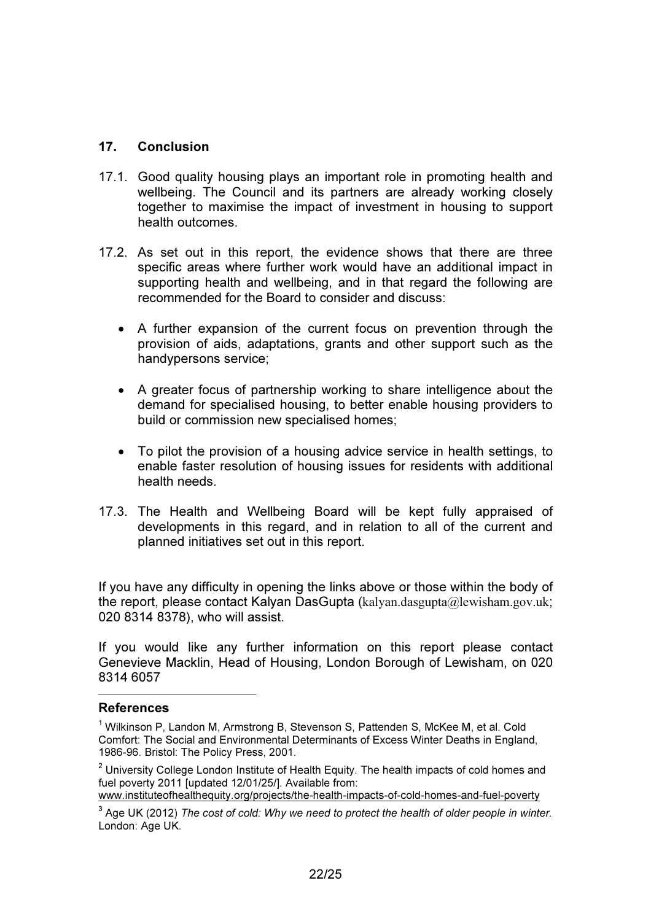## 17. Conclusion

- 17.1. Good quality housing plays an important role in promoting health and wellbeing. The Council and its partners are already working closely together to maximise the impact of investment in housing to support health outcomes.
- 17.2. As set out in this report, the evidence shows that there are three specific areas where further work would have an additional impact in supporting health and wellbeing, and in that regard the following are recommended for the Board to consider and discuss:
	- A further expansion of the current focus on prevention through the provision of aids, adaptations, grants and other support such as the handypersons service;
	- A greater focus of partnership working to share intelligence about the demand for specialised housing, to better enable housing providers to build or commission new specialised homes;
	- To pilot the provision of a housing advice service in health settings, to enable faster resolution of housing issues for residents with additional health needs.
- 17.3. The Health and Wellbeing Board will be kept fully appraised of developments in this regard, and in relation to all of the current and planned initiatives set out in this report.

If you have any difficulty in opening the links above or those within the body of the report, please contact Kalyan DasGupta (kalyan.dasgupta@lewisham.gov.uk; 020 8314 8378), who will assist.

If you would like any further information on this report please contact Genevieve Macklin, Head of Housing, London Borough of Lewisham, on 020 8314 6057

#### References

 $\overline{a}$ 

www.instituteofhealthequity.org/projects/the-health-impacts-of-cold-homes-and-fuel-poverty

<sup>&</sup>lt;sup>1</sup> Wilkinson P, Landon M, Armstrong B, Stevenson S, Pattenden S, McKee M, et al. Cold Comfort: The Social and Environmental Determinants of Excess Winter Deaths in England, 1986-96. Bristol: The Policy Press, 2001.

 $2$  University College London Institute of Health Equity. The health impacts of cold homes and fuel poverty 2011 [updated 12/01/25/]. Available from:

<sup>3</sup> Age UK (2012) *The cost of cold: Why we need to protect the health of older people in winter.* London: Age UK.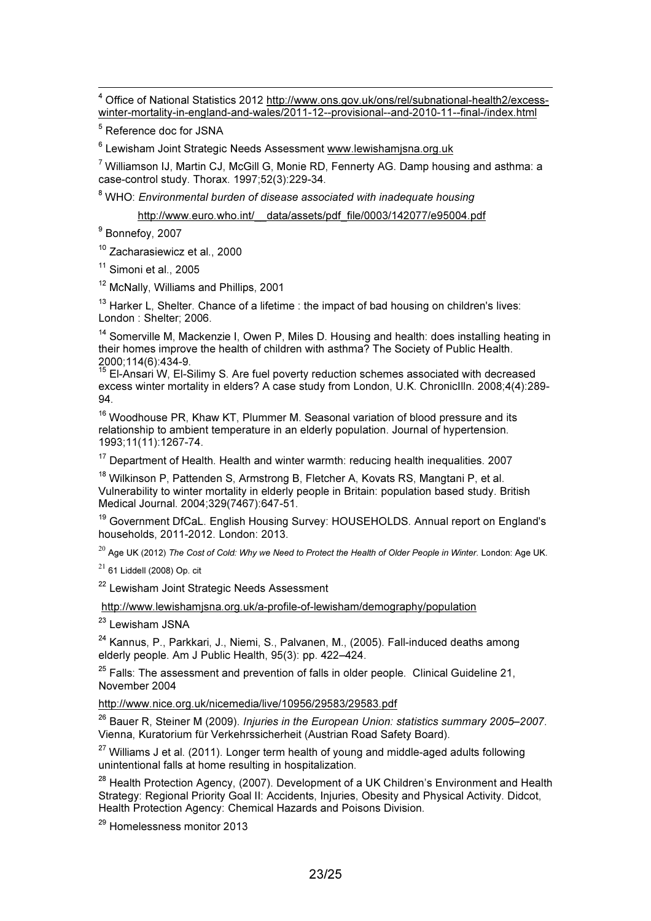4 Office of National Statistics 2012 http://www.ons.gov.uk/ons/rel/subnational-health2/excesswinter-mortality-in-england-and-wales/2011-12--provisional--and-2010-11--final-/index.html

<sup>5</sup> Reference doc for JSNA

<sup>6</sup> Lewisham Joint Strategic Needs Assessment www.lewishamjsna.org.uk

 $^7$  Williamson IJ, Martin CJ, McGill G, Monie RD, Fennerty AG. Damp housing and asthma: a case-control study. Thorax. 1997;52(3):229-34.

8 WHO: *Environmental burden of disease associated with inadequate housing* 

http://www.euro.who.int/\_\_data/assets/pdf\_file/0003/142077/e95004.pdf

<sup>9</sup> Bonnefoy, 2007

<sup>10</sup> Zacharasiewicz et al., 2000

<sup>11</sup> Simoni et al., 2005

<sup>12</sup> McNally, Williams and Phillips, 2001

 $13$  Harker L, Shelter. Chance of a lifetime : the impact of bad housing on children's lives: London : Shelter; 2006.

<sup>14</sup> Somerville M, Mackenzie I, Owen P, Miles D. Housing and health: does installing heating in their homes improve the health of children with asthma? The Society of Public Health.

2000;114(6):434-9.<br><sup>15</sup> El-Ansari W, El-Silimy S. Are fuel poverty reduction schemes associated with decreased excess winter mortality in elders? A case study from London, U.K. ChronicIlln. 2008;4(4):289- 94.

<sup>16</sup> Woodhouse PR, Khaw KT, Plummer M. Seasonal variation of blood pressure and its relationship to ambient temperature in an elderly population. Journal of hypertension. 1993;11(11):1267-74.

 $17$  Department of Health. Health and winter warmth: reducing health inequalities. 2007

<sup>18</sup> Wilkinson P, Pattenden S, Armstrong B, Fletcher A, Kovats RS, Mangtani P, et al. Vulnerability to winter mortality in elderly people in Britain: population based study. British Medical Journal. 2004;329(7467):647-51.

<sup>19</sup> Government DfCaL. English Housing Survey: HOUSEHOLDS. Annual report on England's households, 2011-2012. London: 2013.

 $^{20}$  Age UK (2012) The Cost of Cold: Why we Need to Protect the Health of Older People in Winter. London: Age UK.

 $21$  61 Liddell (2008) Op. cit

<sup>22</sup> Lewisham Joint Strategic Needs Assessment

http://www.lewishamjsna.org.uk/a-profile-of-lewisham/demography/population

<sup>23</sup> Lewisham JSNA

<sup>24</sup> Kannus, P., Parkkari, J., Niemi, S., Palvanen, M., (2005). Fall-induced deaths among elderly people. Am J Public Health, 95(3): pp. 422–424.

 $25$  Falls: The assessment and prevention of falls in older people. Clinical Guideline 21, November 2004

### http://www.nice.org.uk/nicemedia/live/10956/29583/29583.pdf

<sup>26</sup> Bauer R, Steiner M (2009). *Injuries in the European Union: statistics summary 2005–2007*. Vienna, Kuratorium für Verkehrssicherheit (Austrian Road Safety Board).

 $^{27}$  Williams J et al. (2011). Longer term health of young and middle-aged adults following unintentional falls at home resulting in hospitalization.

 $^{28}$  Health Protection Agency, (2007). Development of a UK Children's Environment and Health Strategy: Regional Priority Goal II: Accidents, Injuries, Obesity and Physical Activity. Didcot, Health Protection Agency: Chemical Hazards and Poisons Division.

<sup>29</sup> Homelessness monitor 2013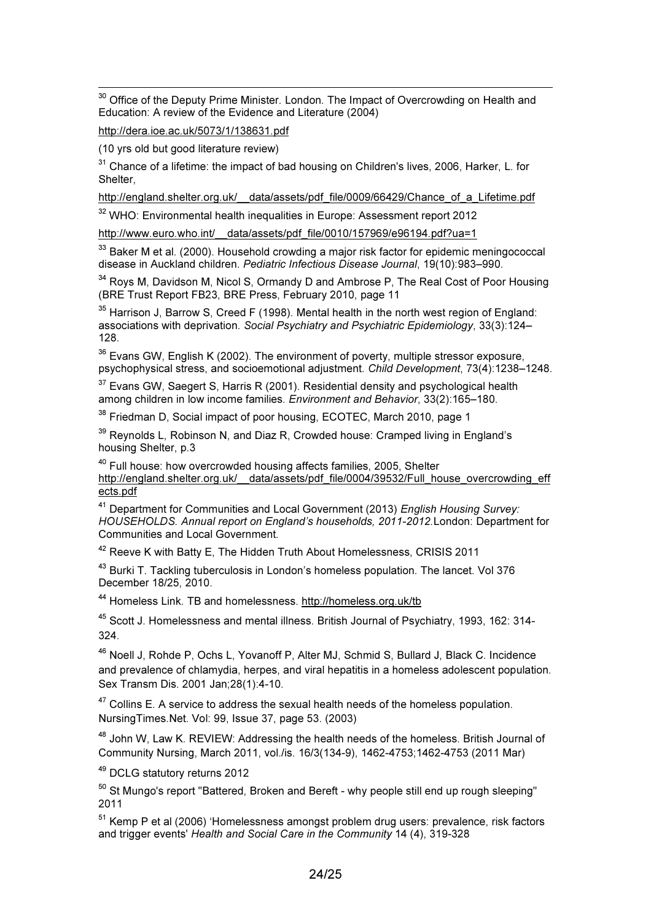$\overline{a}$  $30$  Office of the Deputy Prime Minister. London. The Impact of Overcrowding on Health and Education: A review of the Evidence and Literature (2004)

http://dera.ioe.ac.uk/5073/1/138631.pdf

(10 yrs old but good literature review)

 $31$  Chance of a lifetime: the impact of bad housing on Children's lives, 2006, Harker, L. for **Shelter** 

http://england.shelter.org.uk/ data/assets/pdf file/0009/66429/Chance of a Lifetime.pdf

<sup>32</sup> WHO: Environmental health inequalities in Europe: Assessment report 2012

http://www.euro.who.int/ data/assets/pdf file/0010/157969/e96194.pdf?ua=1

<sup>33</sup> Baker M et al. (2000). Household crowding a major risk factor for epidemic meningococcal disease in Auckland children. *Pediatric Infectious Disease Journal*, 19(10):983–990.

<sup>34</sup> Roys M, Davidson M, Nicol S, Ormandy D and Ambrose P, The Real Cost of Poor Housing (BRE Trust Report FB23, BRE Press, February 2010, page 11

<sup>35</sup> Harrison J, Barrow S, Creed F (1998). Mental health in the north west region of England: associations with deprivation. *Social Psychiatry and Psychiatric Epidemiology*, 33(3):124– 128.

 $36$  Evans GW, English K (2002). The environment of poverty, multiple stressor exposure, psychophysical stress, and socioemotional adjustment. *Child Development*, 73(4):1238–1248.

 $37$  Evans GW, Saegert S, Harris R (2001). Residential density and psychological health among children in low income families. *Environment and Behavior*, 33(2):165–180.

<sup>38</sup> Friedman D, Social impact of poor housing, ECOTEC, March 2010, page 1

 $39$  Reynolds L, Robinson N, and Diaz R, Crowded house: Cramped living in England's housing Shelter, p.3

<sup>40</sup> Full house: how overcrowded housing affects families, 2005, Shelter http://england.shelter.org.uk/\_\_data/assets/pdf\_file/0004/39532/Full\_house\_overcrowding\_eff ects.pdf

<sup>41</sup> Department for Communities and Local Government (2013) *English Housing Survey: HOUSEHOLDS. Annual report on England's households, 2011-2012.*London: Department for Communities and Local Government.

<sup>42</sup> Reeve K with Batty E, The Hidden Truth About Homelessness, CRISIS 2011

<sup>43</sup> Burki T. Tackling tuberculosis in London's homeless population. The lancet. Vol 376 December 18/25, 2010.

<sup>44</sup> Homeless Link. TB and homelessness. http://homeless.org.uk/tb

<sup>45</sup> Scott J. Homelessness and mental illness. British Journal of Psychiatry, 1993, 162: 314- 324.

<sup>46</sup> Noell J, Rohde P, Ochs L, Yovanoff P, Alter MJ, Schmid S, Bullard J, Black C. Incidence and prevalence of chlamydia, herpes, and viral hepatitis in a homeless adolescent population. Sex Transm Dis. 2001 Jan;28(1):4-10.

 $47$  Collins E. A service to address the sexual health needs of the homeless population. NursingTimes.Net. Vol: 99, Issue 37, page 53. (2003)

<sup>48</sup> John W, Law K. REVIEW: Addressing the health needs of the homeless. British Journal of Community Nursing, March 2011, vol./is. 16/3(134-9), 1462-4753;1462-4753 (2011 Mar)

<sup>49</sup> DCLG statutory returns 2012

<sup>50</sup> St Mungo's report "Battered, Broken and Bereft - why people still end up rough sleeping" 2011

<sup>51</sup> Kemp P et al (2006) 'Homelessness amongst problem drug users: prevalence, risk factors and trigger events' *Health and Social Care in the Community* 14 (4), 319-328